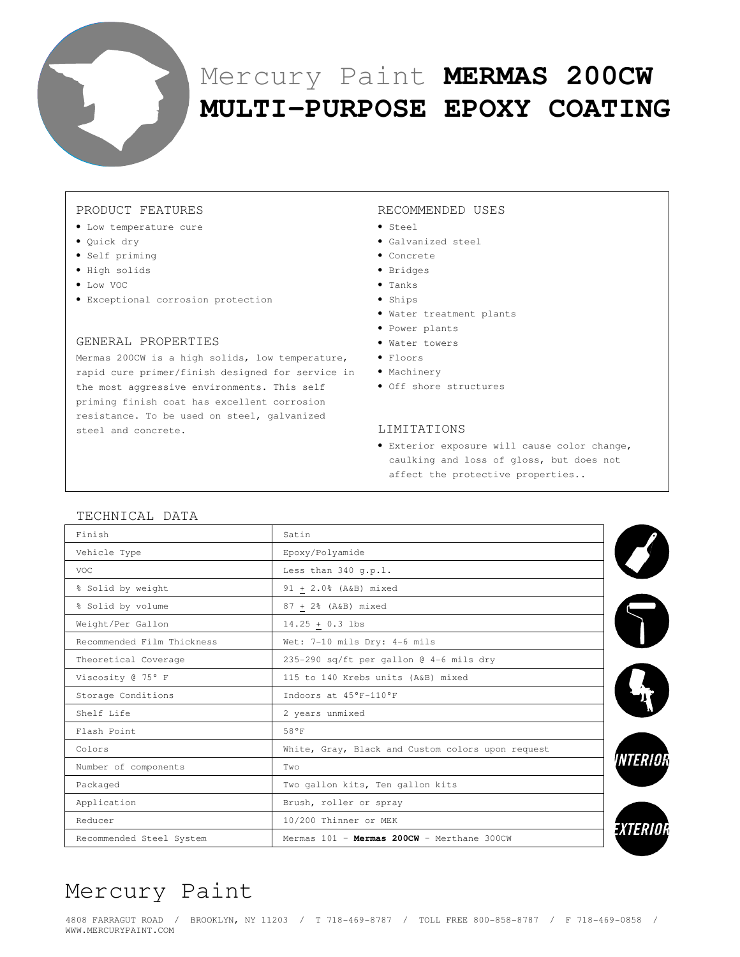

# Mercury Paint **MERMAS 200CW MULTI-PURPOSE EPOXY COATING**

#### PRODUCT FEATURES

- Low temperature cure
- Quick dry
- Self priming
- High solids
- Low VOC
- Exceptional corrosion protection

#### GENERAL PROPERTIES

Mermas 200CW is a high solids, low temperature, rapid cure primer/finish designed for service in • Machinery the most aggressive environments. This self priming finish coat has excellent corrosion resistance. To be used on steel, galvanized steel and concrete.

#### RECOMMENDED USES

- Steel
- Galvanized steel
- Concrete
- Bridges
- Tanks
- Ships
- Water treatment plants
- Power plants
- Water towers
- Floors
- 
- Off shore structures

#### LIMITATIONS

• Exterior exposure will cause color change, caulking and loss of gloss, but does not affect the protective properties..

#### TECHNICAL DATA

| Finish                     | Satin                                             |                        |
|----------------------------|---------------------------------------------------|------------------------|
| Vehicle Type               | Epoxy/Polyamide                                   |                        |
| VOC.                       | Less than 340 g.p.l.                              |                        |
| % Solid by weight          | 91 + 2.0% (A&B) mixed                             |                        |
| % Solid by volume          | 87 + 2% (A&B) mixed                               |                        |
| Weight/Per Gallon          | $14.25 + 0.3$ lbs                                 |                        |
| Recommended Film Thickness | Wet: 7-10 mils Dry: 4-6 mils                      |                        |
| Theoretical Coverage       | 235-290 sq/ft per gallon @ 4-6 mils dry           |                        |
| Viscosity @ 75° F          | 115 to 140 Krebs units (A&B) mixed                |                        |
| Storage Conditions         | Indoors at 45°F-110°F                             |                        |
| Shelf Life                 | 2 years unmixed                                   |                        |
| Flash Point                | 58°F                                              |                        |
| Colors                     | White, Gray, Black and Custom colors upon request |                        |
| Number of components       | Two                                               | <i><b>INTERIOR</b></i> |
| Packaged                   | Two gallon kits, Ten gallon kits                  |                        |
| Application                | Brush, roller or spray                            |                        |
| Reducer                    | 10/200 Thinner or MEK                             |                        |
| Recommended Steel System   | Mermas 101 - Mermas 200CW - Merthane 300CW        |                        |

## Mercury Paint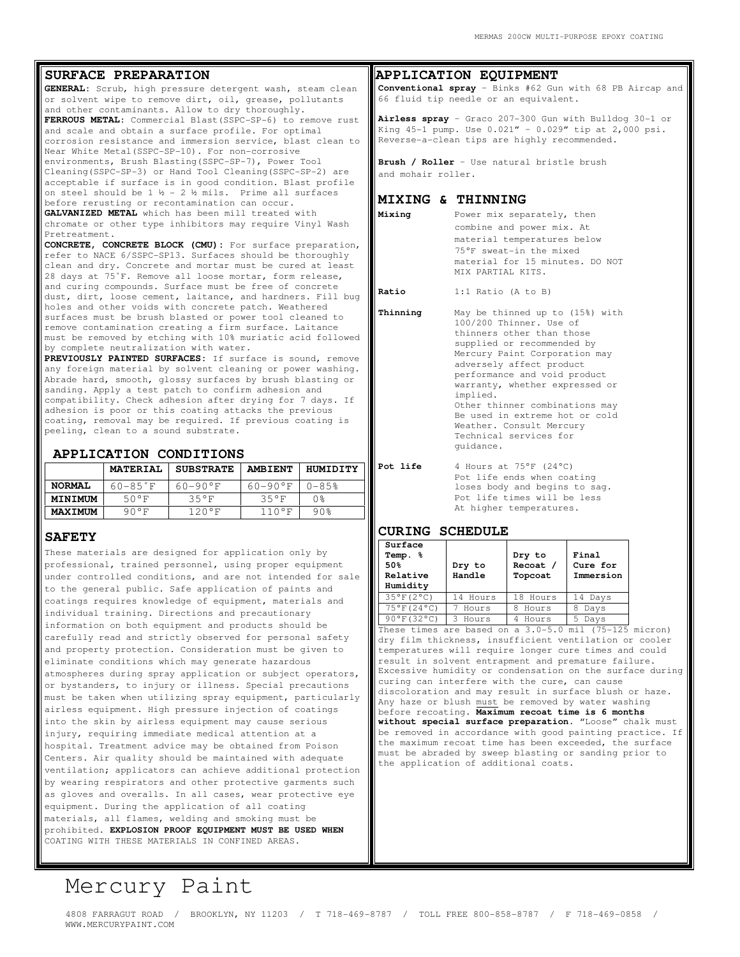#### **SURFACE PREPARATION**

**GENERAL:** Scrub, high pressure detergent wash, steam clean or solvent wipe to remove dirt, oil, grease, pollutants and other contaminants. Allow to dry thoroughly.

**FERROUS METAL:** Commercial Blast(SSPC-SP-6) to remove rust and scale and obtain a surface profile. For optimal corrosion resistance and immersion service, blast clean to Near White Metal(SSPC-SP-10). For non-corrosive environments, Brush Blasting(SSPC-SP-7), Power Tool Cleaning(SSPC-SP-3) or Hand Tool Cleaning(SSPC-SP-2) are acceptable if surface is in good condition. Blast profile on steel should be  $1 \frac{1}{2} - 2 \frac{1}{2}$  mils. Prime all surfaces before rerusting or recontamination can occur.

**GALVANIZED METAL** which has been mill treated with chromate or other type inhibitors may require Vinyl Wash Pretreatment.

**CONCRETE, CONCRETE BLOCK (CMU):** For surface preparation, refer to NACE 6/SSPC-SP13. Surfaces should be thoroughly clean and dry. Concrete and mortar must be cured at least 28 days at 75˚F. Remove all loose mortar, form release, and curing compounds. Surface must be free of concrete dust, dirt, loose cement, laitance, and hardners. Fill bug holes and other voids with concrete patch. Weathered surfaces must be brush blasted or power tool cleaned to remove contamination creating a firm surface. Laitance must be removed by etching with 10% muriatic acid followed by complete neutralization with water.

**PREVIOUSLY PAINTED SURFACES:** If surface is sound, remove any foreign material by solvent cleaning or power washing. Abrade hard, smooth, glossy surfaces by brush blasting or sanding. Apply a test patch to confirm adhesion and compatibility. Check adhesion after drying for 7 days. If adhesion is poor or this coating attacks the previous coating, removal may be required. If previous coating is peeling, clean to a sound substrate.

#### **APPLICATION CONDITIONS**

|                | <b>MATERIAL</b>       | <b>SUBSTRATE</b> | <b>AMBIENT</b> | HUMIDITY |
|----------------|-----------------------|------------------|----------------|----------|
| <b>NORMAL</b>  | $60 - 85$ $\degree$ F | $60 - 90$ °F     | 60-90°F        | $0 - 85$ |
| MINIMUM        | 50°F                  | 35°F             | 35°F           | 0%       |
| <b>MAXIMUM</b> | 90°F                  | 120°F            | $110^{\circ}F$ | 90%      |

#### **SAFETY**

These materials are designed for application only by professional, trained personnel, using proper equipment under controlled conditions, and are not intended for sale to the general public. Safe application of paints and coatings requires knowledge of equipment, materials and individual training. Directions and precautionary information on both equipment and products should be carefully read and strictly observed for personal safety and property protection. Consideration must be given to eliminate conditions which may generate hazardous atmospheres during spray application or subject operators, or bystanders, to injury or illness. Special precautions must be taken when utilizing spray equipment, particularly airless equipment. High pressure injection of coatings into the skin by airless equipment may cause serious injury, requiring immediate medical attention at a hospital. Treatment advice may be obtained from Poison Centers. Air quality should be maintained with adequate ventilation; applicators can achieve additional protection by wearing respirators and other protective garments such as gloves and overalls. In all cases, wear protective eye equipment. During the application of all coating materials, all flames, welding and smoking must be prohibited. **EXPLOSION PROOF EQUIPMENT MUST BE USED WHEN**  COATING WITH THESE MATERIALS IN CONFINED AREAS.

#### **APPLICATION EQUIPMENT**

**Conventional spray** – Binks #62 Gun with 68 PB Aircap and 66 fluid tip needle or an equivalent.

**Airless spray** – Graco 207-300 Gun with Bulldog 30-1 or King 45-1 pump. Use 0.021" – 0.029" tip at 2,000 psi. Reverse-a-clean tips are highly recommended.

Brush / Roller - Use natural bristle brush and mohair roller.

#### **MIXING & THINNING**

**Mixing** Power mix separately, then combine and power mix. At material temperatures below 75°F sweat-in the mixed material for 15 minutes. DO NOT MIX PARTIAL KITS.

**Ratio** 1:1 Ratio (A to B)

- **Thinning** May be thinned up to (15%) with 100/200 Thinner. Use of thinners other than those supplied or recommended by Mercury Paint Corporation may adversely affect product performance and void product warranty, whether expressed or implied. Other thinner combinations may Be used in extreme hot or cold Weather. Consult Mercury Technical services for guidance.
- **Pot life** 4 Hours at 75°F (24°C) Pot life ends when coating loses body and begins to sag. Pot life times will be less At higher temperatures.

#### **CURING SCHEDULE**

| Surface<br>Temp. %<br>50%<br>Relative<br>Humidity | Dry to<br>Handle | Dry to<br>Recoat /<br>Topcoat | Final<br>Cure for<br>Immersion |
|---------------------------------------------------|------------------|-------------------------------|--------------------------------|
| $35^{\circ}$ F(2°C)                               | 14 Hours         | 18 Hours                      | 14 Days                        |
| 75°F(24°C)                                        | Hours            | Hours                         | Days                           |
| $90^{\circ}$ F(32°C)                              | Hours            | Hours                         | Days                           |

These times are based on a 3.0-5.0 mil (75-125 micron) dry film thickness, insufficient ventilation or cooler temperatures will require longer cure times and could result in solvent entrapment and premature failure. Excessive humidity or condensation on the surface during curing can interfere with the cure, can cause discoloration and may result in surface blush or haze. Any haze or blush must be removed by water washing before recoating. **Maximum recoat time is 6 months without special surface preparation.** "Loose" chalk must be removed in accordance with good painting practice. If the maximum recoat time has been exceeded, the surface must be abraded by sweep blasting or sanding prior to the application of additional coats.

### Mercury Paint

4808 FARRAGUT ROAD / BROOKLYN, NY 11203 / T 718-469-8787 / TOLL FREE 800-858-8787 / F 718-469-0858 / WWW.MERCURYPAINT.COM